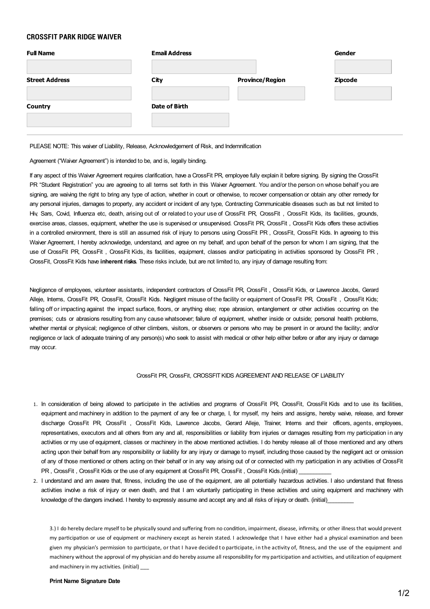# **CROSSFIT PARK RIDGE WAIVER**

| <b>Full Name</b>      | <b>Email Address</b> |                        | Gender         |
|-----------------------|----------------------|------------------------|----------------|
| <b>Street Address</b> | City                 | <b>Province/Region</b> | <b>Zipcode</b> |
| <b>Country</b>        | Date of Birth        |                        |                |
|                       |                      |                        |                |

PLEASE NOTE: This waiver of Liability, Release, Acknowledgement of Risk, and Indemnification

Agreement ("Waiver Agreement") is intended to be, and is, legally binding.

If any aspect of this Waiver Agreement requires clarification, have a CrossFit PR, employee fully explain it before signing. By signing the CrossFit PR "Student Registration" you are agreeing to all terms set forth in this Waiver Agreement. You and/or the person on whose behalf you are signing, are waiving the right to bring any type of action, whether in court or otherwise, to recover compensation or obtain any other remedy for any personal injuries, damages to property, any accident or incident of any type, Contracting Communicable diseases such as but not limited to Hiv, Sars, Covid, Influenza etc, death, arising out of or related to your use of CrossFit PR, CrossFit, CrossFit Kids, its facilities, grounds, exercise areas, classes, equipment, whether the use is supervised or unsupervised. CrossFit PR, CrossFit , CrossFit Kids offers these activities in a controlled environment, there is still an assumed risk of injury to persons using CrossFit PR , CrossFit, CrossFit Kids. In agreeing to this Waiver Agreement, I hereby acknowledge, understand, and agree on my behalf, and upon behalf of the person for whom I am signing, that the use of CrossFit PR, CrossFit , CrossFit Kids, its facilities, equipment, classes and/or participating in activities sponsored by CrossFit PR , CrossFit, CrossFit Kids have **inherent risks**. These risks include, but are not limited to, any injury of damage resulting from:

Negligence of employees, volunteer assistants, independent contractors of CrossFit PR, CrossFit , CrossFit Kids, or Lawrence Jacobs, Gerard Alleje, Interns, CrossFit PR, CrossFit, CrossFit Kids. Negligent misuse of the facility or equipment of CrossFit PR, CrossFit , CrossFit Kids; falling off or impacting against the impact surface, floors, or anything else; rope abrasion, entanglement or other activities occurring on the premises; cuts or abrasions resulting from any cause whatsoever; failure of equipment, whether inside or outside; personal health problems, whether mental or physical; negligence of other climbers, visitors, or observers or persons who may be present in or around the facility; and/or negligence or lack of adequate training of any person(s) who seek to assist with medical or other help either before or after any injury or damage may occur.

## CrossFit PR, CrossFit, CROSSFITKIDS AGREEMENTAND RELEASE OF LIABILITY

- 1. In consideration of being allowed to participate in the activities and programs of CrossFit PR, CrossFit, CrossFit Kids and to use its facilities, equipment and machinery in addition to the payment of any fee or charge, I, for myself, my heirs and assigns, hereby waive, release, and forever discharge CrossFit PR, CrossFit , CrossFit Kids, Lawrence Jacobs, Gerard Alleje, Trainer, Interns and their officers, agents, employees, representatives, executors and all others from any and all, responsibilities or liability from injuries or damages resulting from my participation in any activities or my use of equipment, classes or machinery in the above mentioned activities. I do hereby release all of those mentioned and any others acting upon their behalf from any responsibility or liability for any injury or damage to myself, including those caused by the negligent act or omission of any of those mentioned or others acting on their behalf or in any way arising out of or connected with my participation in any activities of CrossFit PR, CrossFit, CrossFit Kids or the use of any equipment at CrossFit PR, CrossFit, CrossFit Kids.(initial)
- 2. I understand and am aware that, fitness, including the use of the equipment, are all potentially hazardous activities. I also understand that fitness activities involve a risk of injury or even death, and that I am voluntarily participating in these activities and using equipment and machinery with knowledge of the dangers involved. I hereby to expressly assume and accept any and all risks of injury or death. (initial)

3.) I do hereby declare myself to be physically sound and suffering from no condition, impairment, disease, infirmity, or other illness that would prevent my participation or use of equipment or machinery except as herein stated. I acknowledge that I have either had a physical examination and been given my physician's permission to participate, or that I have decided to participate, in the activity of, fitness, and the use of the equipment and machinery without the approval of my physician and do herebyassume all responsibilityfor my participation and activities, and utilization of equipment and machinery in my activities. (initial)